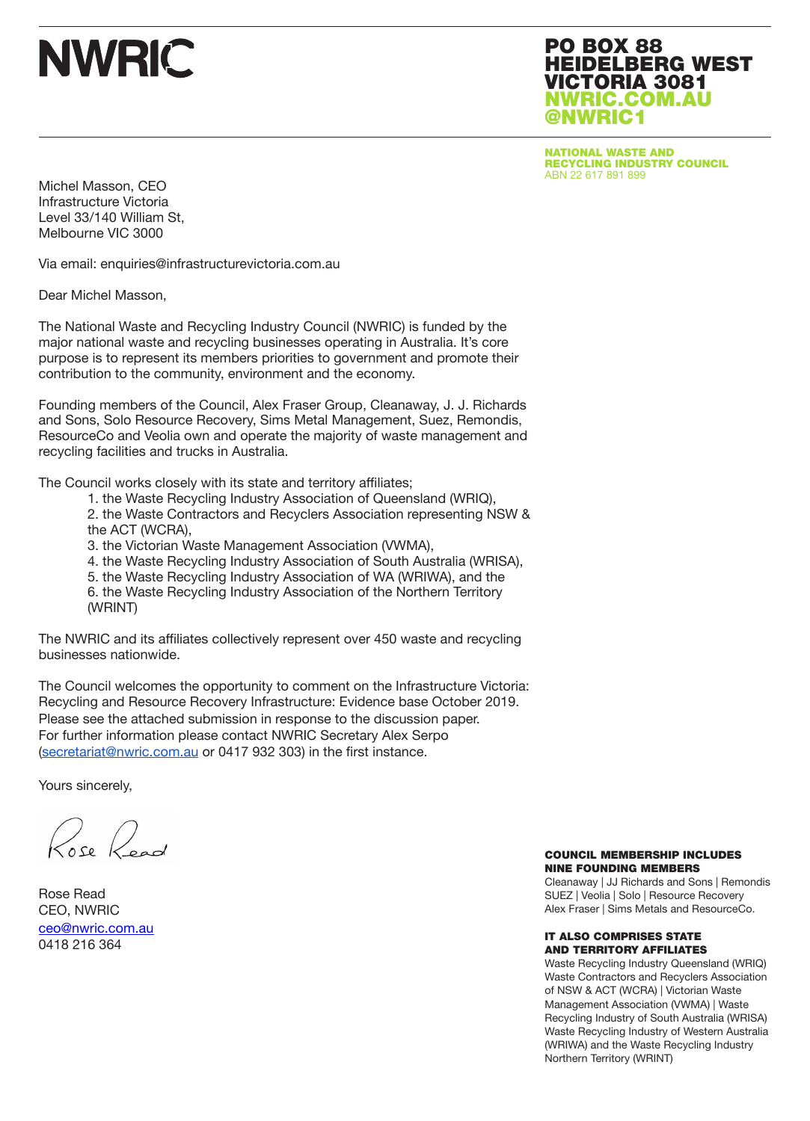PO BOX 88 HEIDELBERG WEST VICTORIA 3081 NWRIC.COM.AU @NWRIC1

NATIONAL WASTE AND RECYCLING INDUSTRY COUNCIL ABN 22 617 891 899

Michel Masson, CEO Infrastructure Victoria Level 33/140 William St, Melbourne VIC 3000

Via email: enquiries@infrastructurevictoria.com.au

Dear Michel Masson,

The National Waste and Recycling Industry Council (NWRIC) is funded by the major national waste and recycling businesses operating in Australia. It's core purpose is to represent its members priorities to government and promote their contribution to the community, environment and the economy.

Founding members of the Council, Alex Fraser Group, Cleanaway, J. J. Richards and Sons, Solo Resource Recovery, Sims Metal Management, Suez, Remondis, ResourceCo and Veolia own and operate the majority of waste management and recycling facilities and trucks in Australia.

The Council works closely with its state and territory affiliates;

- 1. the Waste Recycling Industry Association of Queensland (WRIQ),
- 2. the Waste Contractors and Recyclers Association representing NSW & the ACT (WCRA),
- 3. the Victorian Waste Management Association (VWMA),
- 4. the Waste Recycling Industry Association of South Australia (WRISA),
- 5. the Waste Recycling Industry Association of WA (WRIWA), and the
- 6. the Waste Recycling Industry Association of the Northern Territory (WRINT)

The NWRIC and its affiliates collectively represent over 450 waste and recycling businesses nationwide.

The Council welcomes the opportunity to comment on the Infrastructure Victoria: Recycling and Resource Recovery Infrastructure: Evidence base October 2019. Please see the attached submission in response to the discussion paper. For further information please contact NWRIC Secretary Alex Serpo (secretariat@nwric.com.au or 0417 932 303) in the first instance.

Yours sincerely,

Rose Read

Rose Read CEO, NWRIC ceo@nwric.com.au 0418 216 364

#### COUNCIL MEMBERSHIP INCLUDES NINE FOUNDING MEMBERS

Cleanaway | JJ Richards and Sons | Remondis SUEZ | Veolia | Solo | Resource Recovery Alex Fraser | Sims Metals and ResourceCo.

#### IT ALSO COMPRISES STATE AND TERRITORY AFFILIATES

Waste Recycling Industry Queensland (WRIQ) Waste Contractors and Recyclers Association of NSW & ACT (WCRA) | Victorian Waste Management Association (VWMA) | Waste Recycling Industry of South Australia (WRISA) Waste Recycling Industry of Western Australia (WRIWA) and the Waste Recycling Industry Northern Territory (WRINT)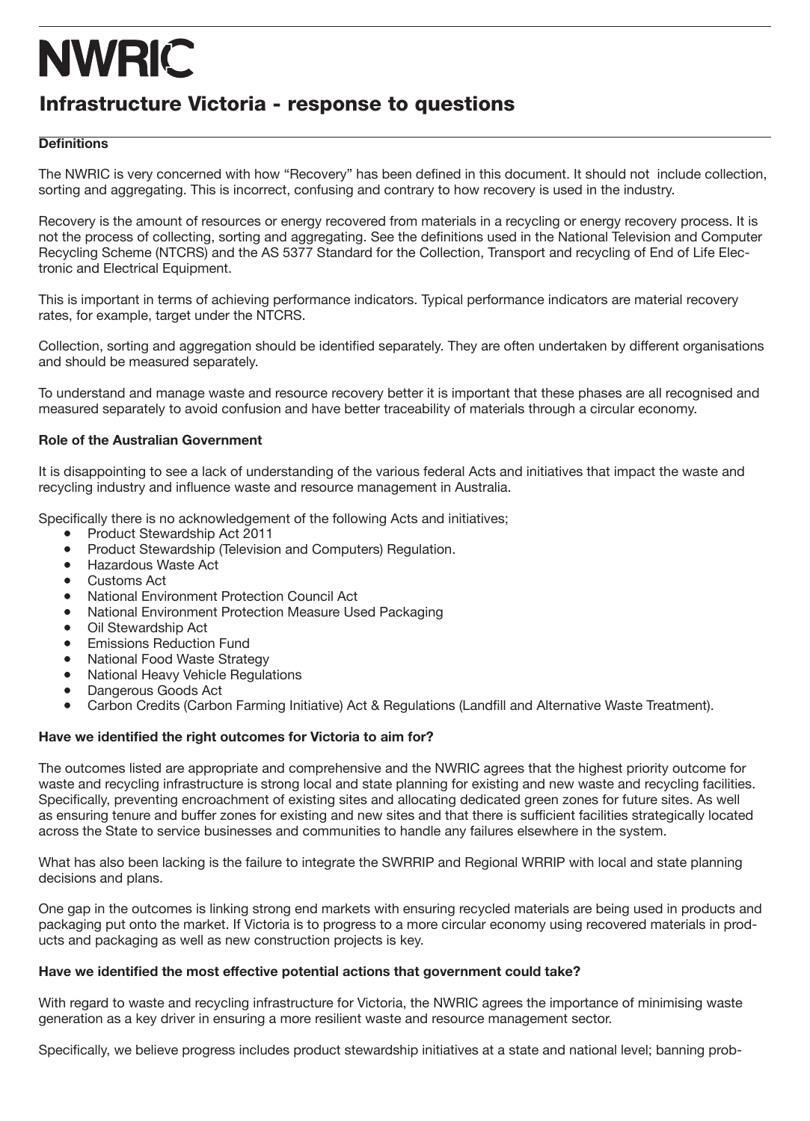### Infrastructure Victoria - response to questions

#### **Definitions**

The NWRIC is very concerned with how "Recovery" has been defined in this document. It should not include collection, sorting and aggregating. This is incorrect, confusing and contrary to how recovery is used in the industry.

Recovery is the amount of resources or energy recovered from materials in a recycling or energy recovery process. It is not the process of collecting, sorting and aggregating. See the definitions used in the National Television and Computer Recycling Scheme (NTCRS) and the AS 5377 Standard for the Collection, Transport and recycling of End of Life Electronic and Electrical Equipment.

This is important in terms of achieving performance indicators. Typical performance indicators are material recovery rates, for example, target under the NTCRS.

Collection, sorting and aggregation should be identified separately. They are often undertaken by different organisations and should be measured separately.

To understand and manage waste and resource recovery better it is important that these phases are all recognised and measured separately to avoid confusion and have better traceability of materials through a circular economy.

#### **Role of the Australian Government**

It is disappointing to see a lack of understanding of the various federal Acts and initiatives that impact the waste and recycling industry and influence waste and resource management in Australia.

Specifically there is no acknowledgement of the following Acts and initiatives;

- Product Stewardship Act 2011
- Product Stewardship (Television and Computers) Regulation.<br>● Hazardous Waste Act
- **Hazardous Waste Act**
- Customs Act
- National Environment Protection Council Act<br>● National Environment Protection Measure Lis
- **National Environment Protection Measure Used Packaging**
- Oil Stewardship Act
- Emissions Reduction Fund<br>● National Food Waste Strate
- **National Food Waste Strategy**
- National Heavy Vehicle Regulations
- Dangerous Goods Act
- Carbon Credits (Carbon Farming Initiative) Act & Regulations (Landfill and Alternative Waste Treatment).

#### **Have we identified the right outcomes for Victoria to aim for?**

The outcomes listed are appropriate and comprehensive and the NWRIC agrees that the highest priority outcome for waste and recycling infrastructure is strong local and state planning for existing and new waste and recycling facilities. Specifically, preventing encroachment of existing sites and allocating dedicated green zones for future sites. As well as ensuring tenure and buffer zones for existing and new sites and that there is sufficient facilities strategically located across the State to service businesses and communities to handle any failures elsewhere in the system.

What has also been lacking is the failure to integrate the SWRRIP and Regional WRRIP with local and state planning decisions and plans.

One gap in the outcomes is linking strong end markets with ensuring recycled materials are being used in products and packaging put onto the market. If Victoria is to progress to a more circular economy using recovered materials in products and packaging as well as new construction projects is key.

#### **Have we identified the most effective potential actions that government could take?**

With regard to waste and recycling infrastructure for Victoria, the NWRIC agrees the importance of minimising waste generation as a key driver in ensuring a more resilient waste and resource management sector.

Specifically, we believe progress includes product stewardship initiatives at a state and national level; banning prob-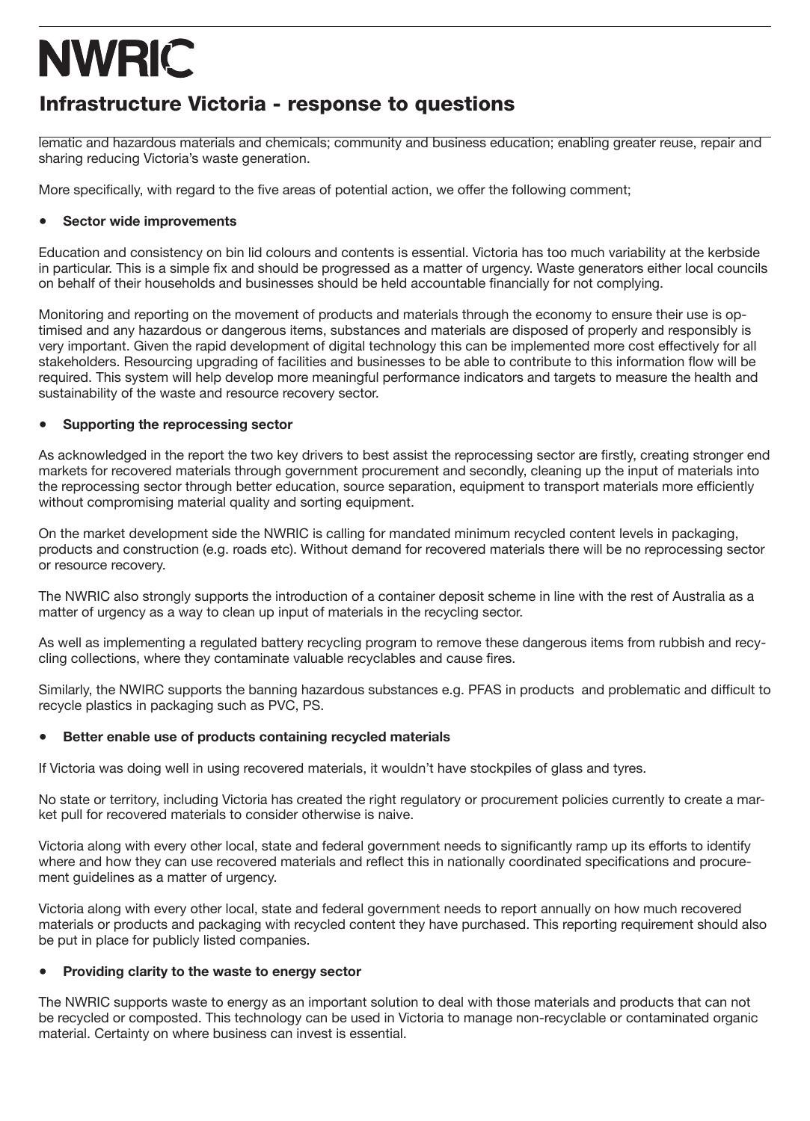### Infrastructure Victoria - response to questions

lematic and hazardous materials and chemicals; community and business education; enabling greater reuse, repair and sharing reducing Victoria's waste generation.

More specifically, with regard to the five areas of potential action, we offer the following comment;

#### **● Sector wide improvements**

Education and consistency on bin lid colours and contents is essential. Victoria has too much variability at the kerbside in particular. This is a simple fix and should be progressed as a matter of urgency. Waste generators either local councils on behalf of their households and businesses should be held accountable financially for not complying.

Monitoring and reporting on the movement of products and materials through the economy to ensure their use is optimised and any hazardous or dangerous items, substances and materials are disposed of properly and responsibly is very important. Given the rapid development of digital technology this can be implemented more cost effectively for all stakeholders. Resourcing upgrading of facilities and businesses to be able to contribute to this information flow will be required. This system will help develop more meaningful performance indicators and targets to measure the health and sustainability of the waste and resource recovery sector.

#### **● Supporting the reprocessing sector**

As acknowledged in the report the two key drivers to best assist the reprocessing sector are firstly, creating stronger end markets for recovered materials through government procurement and secondly, cleaning up the input of materials into the reprocessing sector through better education, source separation, equipment to transport materials more efficiently without compromising material quality and sorting equipment.

On the market development side the NWRIC is calling for mandated minimum recycled content levels in packaging, products and construction (e.g. roads etc). Without demand for recovered materials there will be no reprocessing sector or resource recovery.

The NWRIC also strongly supports the introduction of a container deposit scheme in line with the rest of Australia as a matter of urgency as a way to clean up input of materials in the recycling sector.

As well as implementing a regulated battery recycling program to remove these dangerous items from rubbish and recycling collections, where they contaminate valuable recyclables and cause fires.

Similarly, the NWIRC supports the banning hazardous substances e.g. PFAS in products and problematic and difficult to recycle plastics in packaging such as PVC, PS.

#### **● Better enable use of products containing recycled materials**

If Victoria was doing well in using recovered materials, it wouldn't have stockpiles of glass and tyres.

No state or territory, including Victoria has created the right regulatory or procurement policies currently to create a market pull for recovered materials to consider otherwise is naive.

Victoria along with every other local, state and federal government needs to significantly ramp up its efforts to identify where and how they can use recovered materials and reflect this in nationally coordinated specifications and procurement guidelines as a matter of urgency.

Victoria along with every other local, state and federal government needs to report annually on how much recovered materials or products and packaging with recycled content they have purchased. This reporting requirement should also be put in place for publicly listed companies.

#### **● Providing clarity to the waste to energy sector**

The NWRIC supports waste to energy as an important solution to deal with those materials and products that can not be recycled or composted. This technology can be used in Victoria to manage non-recyclable or contaminated organic material. Certainty on where business can invest is essential.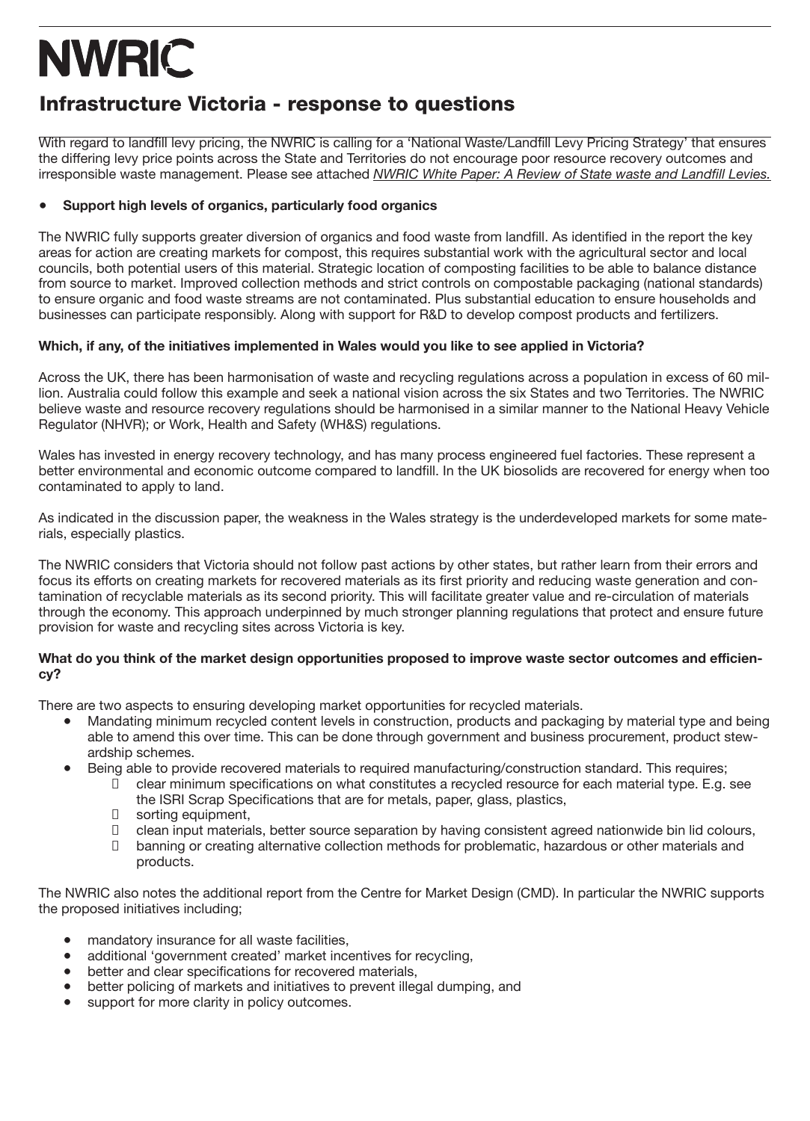### Infrastructure Victoria - response to questions

With regard to landfill levy pricing, the NWRIC is calling for a 'National Waste/Landfill Levy Pricing Strategy' that ensures the differing levy price points across the State and Territories do not encourage poor resource recovery outcomes and irresponsible waste management. Please see attached *NWRIC White Paper: A Review of State waste and Landfill Levies.*

### **● Support high levels of organics, particularly food organics**

The NWRIC fully supports greater diversion of organics and food waste from landfill. As identified in the report the key areas for action are creating markets for compost, this requires substantial work with the agricultural sector and local councils, both potential users of this material. Strategic location of composting facilities to be able to balance distance from source to market. Improved collection methods and strict controls on compostable packaging (national standards) to ensure organic and food waste streams are not contaminated. Plus substantial education to ensure households and businesses can participate responsibly. Along with support for R&D to develop compost products and fertilizers.

### **Which, if any, of the initiatives implemented in Wales would you like to see applied in Victoria?**

Across the UK, there has been harmonisation of waste and recycling regulations across a population in excess of 60 million. Australia could follow this example and seek a national vision across the six States and two Territories. The NWRIC believe waste and resource recovery regulations should be harmonised in a similar manner to the National Heavy Vehicle Regulator (NHVR); or Work, Health and Safety (WH&S) regulations.

Wales has invested in energy recovery technology, and has many process engineered fuel factories. These represent a better environmental and economic outcome compared to landfill. In the UK biosolids are recovered for energy when too contaminated to apply to land.

As indicated in the discussion paper, the weakness in the Wales strategy is the underdeveloped markets for some materials, especially plastics.

The NWRIC considers that Victoria should not follow past actions by other states, but rather learn from their errors and focus its efforts on creating markets for recovered materials as its first priority and reducing waste generation and contamination of recyclable materials as its second priority. This will facilitate greater value and re-circulation of materials through the economy. This approach underpinned by much stronger planning regulations that protect and ensure future provision for waste and recycling sites across Victoria is key.

#### **What do you think of the market design opportunities proposed to improve waste sector outcomes and efficiency?**

There are two aspects to ensuring developing market opportunities for recycled materials.

- Mandating minimum recycled content levels in construction, products and packaging by material type and being able to amend this over time. This can be done through government and business procurement, product stewardship schemes.
- Being able to provide recovered materials to required manufacturing/construction standard. This requires;
	- $\Box$  clear minimum specifications on what constitutes a recycled resource for each material type. E.g. see the ISRI Scrap Specifications that are for metals, paper, glass, plastics,
	- $\Box$  sorting equipment,<br> $\Box$  clean input materia
	- $\Box$  clean input materials, better source separation by having consistent agreed nationwide bin lid colours,  $\Box$  banning or creating alternative collection methods for problematic, hazardous or other materials and
	- banning or creating alternative collection methods for problematic, hazardous or other materials and products.

The NWRIC also notes the additional report from the Centre for Market Design (CMD). In particular the NWRIC supports the proposed initiatives including;

- mandatory insurance for all waste facilities,
- additional 'government created' market incentives for recycling,
- better and clear specifications for recovered materials.
- better policing of markets and initiatives to prevent illegal dumping, and<br>● support for more clarity in policy outcomes
- support for more clarity in policy outcomes.